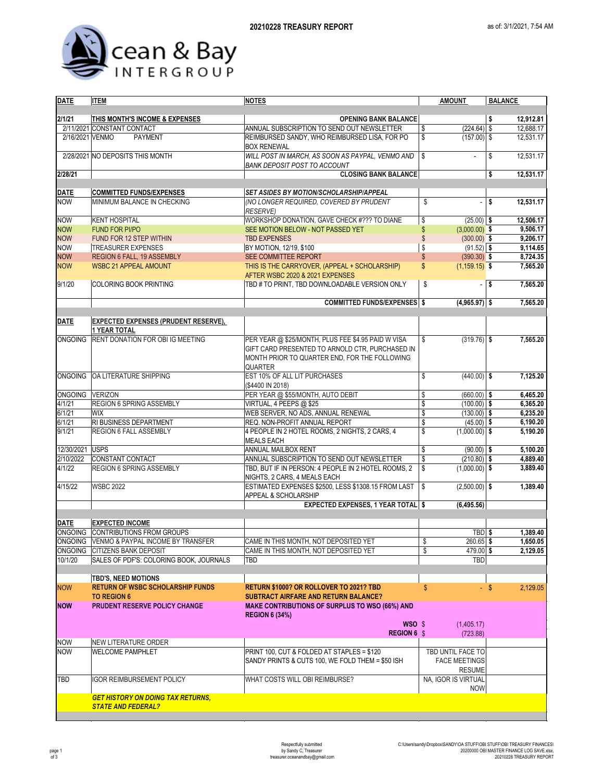

| <b>DATE</b>     | <b>ITEM</b>                                                           | <b>NOTES</b>                                                                                                                                                             | <b>AMOUNT</b>                                      | <b>BALANCE</b>     |  |
|-----------------|-----------------------------------------------------------------------|--------------------------------------------------------------------------------------------------------------------------------------------------------------------------|----------------------------------------------------|--------------------|--|
| 2/1/21          | THIS MONTH'S INCOME & EXPENSES                                        | <b>OPENING BANK BALANCE</b>                                                                                                                                              |                                                    | \$<br>12,912.81    |  |
|                 | 2/11/2021 CONSTANT CONTACT                                            | ANNUAL SUBSCRIPTION TO SEND OUT NEWSLETTER                                                                                                                               | (224.64)<br>\$                                     | 12,688.17<br>\$    |  |
| 2/16/2021 VENMO | <b>PAYMENT</b>                                                        | REIMBURSED SANDY, WHO REIMBURSED LISA, FOR PO<br><b>BOX RENEWAL</b>                                                                                                      | \$<br>$(157.00)$ \$                                | 12,531.17          |  |
|                 | 2/28/2021 NO DEPOSITS THIS MONTH                                      | WILL POST IN MARCH, AS SOON AS PAYPAL, VENMO AND<br><b>BANK DEPOSIT POST TO ACCOUNT</b>                                                                                  | \$                                                 | \$<br>12,531.17    |  |
| 2/28/21         |                                                                       | <b>CLOSING BANK BALANCE</b>                                                                                                                                              |                                                    | \$<br>12,531.17    |  |
| <b>DATE</b>     | <b>COMMITTED FUNDS/EXPENSES</b>                                       | SET ASIDES BY MOTION/SCHOLARSHIP/APPEAL                                                                                                                                  |                                                    |                    |  |
| <b>NOW</b>      | MINIMUM BALANCE IN CHECKING                                           | (NO LONGER REQUIRED, COVERED BY PRUDENT<br><b>RESERVE)</b>                                                                                                               | \$                                                 | \$<br>12,531.17    |  |
| <b>NOW</b>      | <b>KENT HOSPITAL</b>                                                  | WORKSHOP DONATION, GAVE CHECK #??? TO DIANE                                                                                                                              | \$<br>$(25.00)$ \$                                 | 12,506.17          |  |
| <b>NOW</b>      | <b>FUND FOR PI/PO</b>                                                 | SEE MOTION BELOW - NOT PASSED YET                                                                                                                                        | \$<br>$(3,000.00)$ \$                              | 9,506.17           |  |
| <b>NOW</b>      | FUND FOR 12 STEP WITHIN                                               | <b>TBD EXPENSES</b>                                                                                                                                                      | $\mathbb{S}$<br>$(300.00)$ \$                      | 9,206.17           |  |
| <b>NOW</b>      | <b>TREASURER EXPENSES</b>                                             | BY MOTION, 12/19, \$100                                                                                                                                                  | $(91.52)$ \$<br>\$                                 | 9,114.65           |  |
| <b>NOW</b>      | REGION 6 FALL, 19 ASSEMBLY                                            | SEE COMMITTEE REPORT                                                                                                                                                     | \$<br>$(390.30)$ \$                                | 8,724.35           |  |
| <b>NOW</b>      | <b>WSBC 21 APPEAL AMOUNT</b>                                          | THIS IS THE CARRYOVER, (APPEAL + SCHOLARSHIP)<br>AFTER WSBC 2020 & 2021 EXPENSES                                                                                         | $(1, 159.15)$ \$<br>\$                             | 7,565.20           |  |
| 9/1/20          | <b>COLORING BOOK PRINTING</b>                                         | TBD # TO PRINT, TBD DOWNLOADABLE VERSION ONLY                                                                                                                            | \$<br>÷,                                           | 7,565.20<br>\$     |  |
|                 |                                                                       | <b>COMMITTED FUNDS/EXPENSES</b> \$                                                                                                                                       | $(4,965.97)$ \$                                    | 7,565.20           |  |
| <b>DATE</b>     | <b>EXPECTED EXPENSES (PRUDENT RESERVE),</b>                           |                                                                                                                                                                          |                                                    |                    |  |
|                 | 1 YEAR TOTAL                                                          |                                                                                                                                                                          |                                                    |                    |  |
| <b>ONGOING</b>  | RENT DONATION FOR OBI IG MEETING                                      | PER YEAR @ \$25/MONTH, PLUS FEE \$4.95 PAID W VISA<br>GIFT CARD PRESENTED TO ARNOLD CTR, PURCHASED IN<br>MONTH PRIOR TO QUARTER END, FOR THE FOLLOWING<br><b>QUARTER</b> | \$<br>$(319.76)$ \$                                | 7,565.20           |  |
|                 | ONGOING OA LITERATURE SHIPPING                                        | EST 10% OF ALL LIT PURCHASES<br>(\$4400 IN 2018)                                                                                                                         | \$<br>$(440.00)$ \$                                | 7,125.20           |  |
| ONGOING VERIZON |                                                                       | PER YEAR @ \$55/MONTH, AUTO DEBIT                                                                                                                                        | \$<br>$(660.00)$ \$                                | 6.465.20           |  |
| 4/1/21          | REGION 6 SPRING ASSEMBLY                                              | VIRTUAL, 4 PEEPS @ \$25                                                                                                                                                  | \$<br>$(100.00)$ \$                                | 6,365.20           |  |
| 6/1/21          | <b>WIX</b>                                                            | WEB SERVER, NO ADS, ANNUAL RENEWAL                                                                                                                                       | \$<br>$(130.00)$ \$                                | 6,235.20           |  |
| 6/1/21          | RI BUSINESS DEPARTMENT                                                | REQ. NON-PROFIT ANNUAL REPORT                                                                                                                                            | \$<br>$(45.00)$ \$                                 | 6,190.20           |  |
| 9/1/21          | REGION 6 FALL ASSEMBLY                                                | 4 PEOPLE IN 2 HOTEL ROOMS, 2 NIGHTS, 2 CARS, 4<br><b>MEALS EACH</b>                                                                                                      | \$<br>$(1,000.00)$ \$                              | 5,190.20           |  |
| 12/30/2021      | <b>USPS</b>                                                           | ANNUAL MAILBOX RENT                                                                                                                                                      | \$<br>$(90.00)$ \$                                 | 5,100.20           |  |
| 2/10/2022       | CONSTANT CONTACT                                                      | ANNUAL SUBSCRIPTION TO SEND OUT NEWSLETTER                                                                                                                               | \$<br>$(210.80)$ \$                                | 4,889.40           |  |
| 4/1/22          | REGION 6 SPRING ASSEMBLY                                              | TBD, BUT IF IN PERSON: 4 PEOPLE IN 2 HOTEL ROOMS, 2<br>NIGHTS, 2 CARS, 4 MEALS EACH                                                                                      | \$<br>$(1,000.00)$ \$                              | 3,889.40           |  |
| 4/15/22         | <b>WSBC 2022</b>                                                      | ESTIMATED EXPENSES \$2500, LESS \$1308.15 FROM LAST<br>APPEAL & SCHOLARSHIP                                                                                              | \$<br>$(2,500.00)$ \$                              | 1,389.40           |  |
|                 |                                                                       | <b>EXPECTED EXPENSES, 1 YEAR TOTAL \$</b>                                                                                                                                | (6, 495.56)                                        |                    |  |
| <b>DATE</b>     | <b>EXPECTED INCOME</b>                                                |                                                                                                                                                                          |                                                    |                    |  |
|                 | ONGOING CONTRIBUTIONS FROM GROUPS                                     |                                                                                                                                                                          | TBD \$                                             | 1.389.40           |  |
|                 | ONGOING VENMO & PAYPAL INCOME BY TRANSFER                             | CAME IN THIS MONTH, NOT DEPOSITED YET                                                                                                                                    | \$<br>260.65 \$                                    | 1,650.05           |  |
|                 | ONGOING CITIZENS BANK DEPOSIT                                         | CAME IN THIS MONTH, NOT DEPOSITED YET                                                                                                                                    | \$<br>479.00 \$                                    | 2,129.05           |  |
| 10/1/20         | SALES OF PDF'S: COLORING BOOK, JOURNALS                               | TBD                                                                                                                                                                      | <b>TBD</b>                                         |                    |  |
|                 | TBD'S, NEED MOTIONS                                                   |                                                                                                                                                                          |                                                    |                    |  |
| <b>NOW</b>      | <b>RETURN OF WSBC SCHOLARSHIP FUNDS</b><br><b>TO REGION 6</b>         | <b>RETURN \$1000? OR ROLLOVER TO 2021? TBD</b><br><b>SUBTRACT AIRFARE AND RETURN BALANCE?</b>                                                                            | \$                                                 | $-$ \$<br>2.129.05 |  |
| <b>NOW</b>      | PRUDENT RESERVE POLICY CHANGE                                         | <b>MAKE CONTRIBUTIONS OF SURPLUS TO WSO (66%) AND</b><br><b>REGION 6 (34%)</b>                                                                                           |                                                    |                    |  |
|                 |                                                                       | WSO \$<br><b>REGION 6 \$</b>                                                                                                                                             | (1,405.17)<br>(723.88)                             |                    |  |
| <b>NOW</b>      | <b>NEW LITERATURE ORDER</b>                                           |                                                                                                                                                                          |                                                    |                    |  |
| <b>NOW</b>      | <b>WELCOME PAMPHLET</b>                                               | PRINT 100, CUT & FOLDED AT STAPLES = \$120<br>SANDY PRINTS & CUTS 100, WE FOLD THEM = \$50 ISH                                                                           | TBD UNTIL FACE TO<br><b>FACE MEETINGS</b>          |                    |  |
| TBD             | <b>IGOR REIMBURSEMENT POLICY</b>                                      | WHAT COSTS WILL OBI REIMBURSE?                                                                                                                                           | <b>RESUME</b><br>NA, IGOR IS VIRTUAL<br><b>NOW</b> |                    |  |
|                 | <b>GET HISTORY ON DOING TAX RETURNS,</b><br><b>STATE AND FEDERAL?</b> |                                                                                                                                                                          |                                                    |                    |  |
|                 |                                                                       |                                                                                                                                                                          |                                                    |                    |  |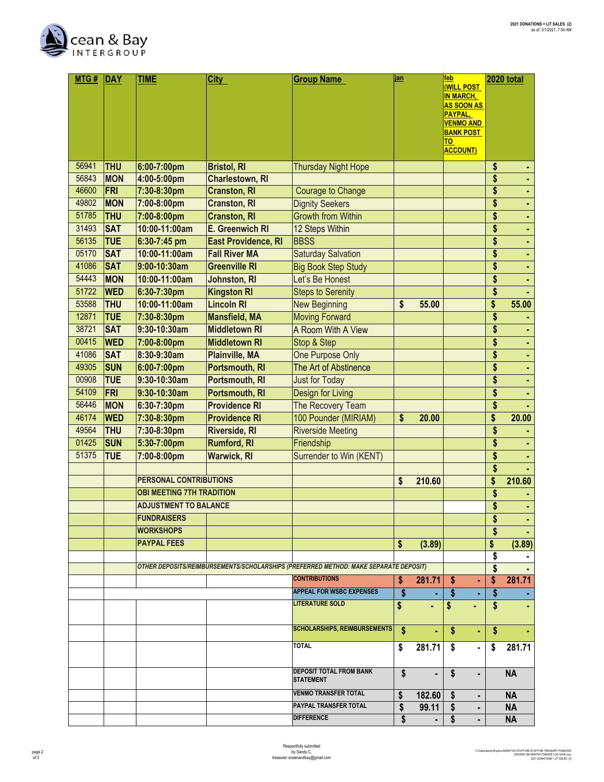

| MTG#  | <b>DAY</b> | <b>TIME</b>                      | <b>City</b>                | <b>Group Name</b>                                                                    | jan |                | feb                                   | 2020 total           |
|-------|------------|----------------------------------|----------------------------|--------------------------------------------------------------------------------------|-----|----------------|---------------------------------------|----------------------|
|       |            |                                  |                            |                                                                                      |     |                | <b>(WILL POST</b>                     |                      |
|       |            |                                  |                            |                                                                                      |     |                | <b>IN MARCH,</b><br><b>AS SOON AS</b> |                      |
|       |            |                                  |                            |                                                                                      |     |                | PAYPAL,                               |                      |
|       |            |                                  |                            |                                                                                      |     |                | <b>VENMO AND</b>                      |                      |
|       |            |                                  |                            |                                                                                      |     |                | <b>BANK POST</b><br>TO                |                      |
|       |            |                                  |                            |                                                                                      |     |                | <b>ACCOUNT)</b>                       |                      |
| 56941 | <b>THU</b> | 6:00-7:00pm                      | <b>Bristol, RI</b>         | <b>Thursday Night Hope</b>                                                           |     |                |                                       | \$                   |
| 56843 | <b>MON</b> | 4:00-5:00pm                      | <b>Charlestown, RI</b>     |                                                                                      |     |                |                                       | \$                   |
| 46600 | FRI        | 7:30-8:30pm                      | <b>Cranston, RI</b>        | <b>Courage to Change</b>                                                             |     |                |                                       | \$<br>٠              |
| 49802 | <b>MON</b> | 7:00-8:00pm                      | <b>Cranston, RI</b>        | <b>Dignity Seekers</b>                                                               |     |                |                                       | \$<br>٠              |
| 51785 | <b>THU</b> | 7:00-8:00pm                      | <b>Cranston, RI</b>        | <b>Growth from Within</b>                                                            |     |                |                                       | \$<br>٠              |
| 31493 | <b>SAT</b> | 10:00-11:00am                    | E. Greenwich RI            | 12 Steps Within                                                                      |     |                |                                       | \$<br>÷,             |
| 56135 | <b>TUE</b> | 6:30-7:45 pm                     | <b>East Providence, RI</b> | <b>BBSS</b>                                                                          |     |                |                                       | \$<br>ä,             |
| 05170 | <b>SAT</b> | 10:00-11:00am                    | <b>Fall River MA</b>       | <b>Saturday Salvation</b>                                                            |     |                |                                       | \$<br>ä,             |
| 41086 | <b>SAT</b> | 9:00-10:30am                     | <b>Greenville RI</b>       | <b>Big Book Step Study</b>                                                           |     |                |                                       | \$<br>٠              |
| 54443 | <b>MON</b> | 10:00-11:00am                    | <b>Johnston, RI</b>        | Let's Be Honest                                                                      |     |                |                                       | \$                   |
| 51722 | <b>WED</b> | 6:30-7:30pm                      | <b>Kingston RI</b>         | <b>Steps to Serenity</b>                                                             |     |                |                                       | \$                   |
| 53588 | <b>THU</b> | 10:00-11:00am                    | <b>Lincoln RI</b>          | <b>New Beginning</b>                                                                 | \$  | 55.00          |                                       | \$<br>55.00          |
| 12871 | <b>TUE</b> | 7:30-8:30pm                      | <b>Mansfield, MA</b>       | <b>Moving Forward</b>                                                                |     |                |                                       | \$                   |
| 38721 | <b>SAT</b> | 9:30-10:30am                     | <b>Middletown RI</b>       | A Room With A View                                                                   |     |                |                                       | \$<br>٠              |
| 00415 | <b>WED</b> | 7:00-8:00pm                      | <b>Middletown RI</b>       | Stop & Step                                                                          |     |                |                                       | \$                   |
| 41086 | <b>SAT</b> | 8:30-9:30am                      |                            | One Purpose Only                                                                     |     |                |                                       | \$<br>٠              |
| 49305 |            |                                  | <b>Plainville, MA</b>      | The Art of Abstinence                                                                |     |                |                                       | ä,                   |
|       | <b>SUN</b> | 6:00-7:00pm                      | Portsmouth, RI             |                                                                                      |     |                |                                       | \$                   |
| 00908 | <b>TUE</b> | 9:30-10:30am                     | Portsmouth, RI             | <b>Just for Today</b>                                                                |     |                |                                       | \$<br>٠              |
| 54109 | FRI        | 9:30-10:30am                     | Portsmouth, RI             | Design for Living                                                                    |     |                |                                       | \$                   |
| 56446 | <b>MON</b> | 6:30-7:30pm                      | <b>Providence RI</b>       | The Recovery Team                                                                    |     |                |                                       | \$                   |
| 46174 | <b>WED</b> | 7:30-8:30pm                      | <b>Providence RI</b>       | 100 Pounder (MIRIAM)                                                                 | \$  | 20.00          |                                       | \$<br>20.00          |
| 49564 | <b>THU</b> | 7:30-8:30pm                      | <b>Riverside, RI</b>       | <b>Riverside Meeting</b>                                                             |     |                |                                       | \$                   |
| 01425 | <b>SUN</b> | 5:30-7:00pm                      | <b>Rumford, RI</b>         | Friendship                                                                           |     |                |                                       | \$                   |
| 51375 | <b>TUE</b> | 7:00-8:00pm                      | <b>Warwick, RI</b>         | Surrender to Win (KENT)                                                              |     |                |                                       | \$                   |
|       |            |                                  |                            |                                                                                      |     |                |                                       | \$                   |
|       |            | PERSONAL CONTRIBUTIONS           |                            |                                                                                      | \$  | 210.60         |                                       | \$<br>210.60         |
|       |            | <b>OBI MEETING 7TH TRADITION</b> |                            |                                                                                      |     |                |                                       | \$                   |
|       |            | <b>ADJUSTMENT TO BALANCE</b>     |                            |                                                                                      |     |                |                                       | \$<br>$\blacksquare$ |
|       |            | <b>FUNDRAISERS</b>               |                            |                                                                                      |     |                |                                       | \$                   |
|       |            | <b>WORKSHOPS</b>                 |                            |                                                                                      |     |                |                                       | \$                   |
|       |            | <b>PAYPAL FEES</b>               |                            |                                                                                      | \$  | (3.89)         |                                       | \$<br>(3.89)         |
|       |            |                                  |                            |                                                                                      |     |                |                                       | \$                   |
|       |            |                                  |                            | OTHER DEPOSITS/REIMBURSEMENTS/SCHOLARSHIPS (PREFERRED METHOD: MAKE SEPARATE DEPOSIT) |     |                |                                       | \$                   |
|       |            |                                  |                            | <b>CONTRIBUTIONS</b>                                                                 | \$  | 281.71         | \$                                    | \$<br>281.71         |
|       |            |                                  |                            | <b>APPEAL FOR WSBC EXPENSES</b>                                                      | \$  |                | \$                                    | \$                   |
|       |            |                                  |                            | <b>LITERATURE SOLD</b>                                                               | \$  | ٠              | \$                                    | \$                   |
|       |            |                                  |                            |                                                                                      |     |                |                                       |                      |
|       |            |                                  |                            | <b>SCHOLARSHIPS, REIMBURSEMENTS</b>                                                  | \$  | $\blacksquare$ | \$<br>٠                               | \$                   |
|       |            |                                  |                            | <b>TOTAL</b>                                                                         | \$  | 281.71         | S.<br>٠                               | \$<br>281.71         |
|       |            |                                  |                            |                                                                                      |     |                |                                       |                      |
|       |            |                                  |                            | DEPOSIT TOTAL FROM BANK                                                              | \$  | ٠              | \$<br>$\blacksquare$                  | <b>NA</b>            |
|       |            |                                  |                            | <b>STATEMENT</b>                                                                     |     |                |                                       |                      |
|       |            |                                  |                            | <b>VENMO TRANSFER TOTAL</b>                                                          | \$  | 182.60         | S                                     | <b>NA</b>            |
|       |            |                                  |                            | PAYPAL TRANSFER TOTAL                                                                | \$  | 99.11          | \$<br>٠                               | <b>NA</b>            |
|       |            |                                  |                            | <b>DIFFERENCE</b>                                                                    | \$  | $\blacksquare$ | \$<br>٠                               | <b>NA</b>            |